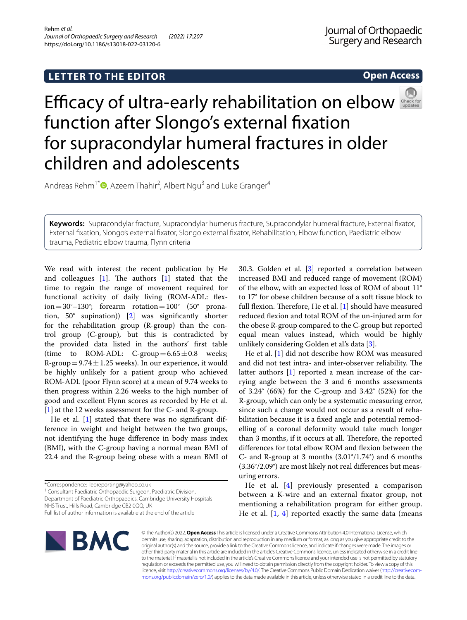## **Open Access**



# Efficacyof ultra-early rehabilitation on elbow function after Slongo's external fxation for supracondylar humeral fractures in older children and adolescents

Andreas Rehm<sup>1[\\*](http://orcid.org/0000-0003-4480-2497)</sup><sup>®</sup>, Azeem Thahir<sup>2</sup>, Albert Ngu<sup>3</sup> and Luke Granger<sup>4</sup>

**Keywords:** Supracondylar fracture, Supracondylar humerus fracture, Supracondylar humeral fracture, External fxator, External fxation, Slongo's external fxator, Slongo external fxator, Rehabilitation, Elbow function, Paediatric elbow trauma, Pediatric elbow trauma, Flynn criteria

We read with interest the recent publication by He and colleagues  $[1]$  $[1]$ . The authors  $[1]$  $[1]$  stated that the time to regain the range of movement required for functional activity of daily living (ROM-ADL: fexion=30°–130°; forearm rotation=100° (50° pronation, 50° supination)) [[2](#page-1-1)] was signifcantly shorter for the rehabilitation group (R-group) than the control group (C-group), but this is contradicted by the provided data listed in the authors' frst table (time to ROM-ADL: C-group= $6.65 \pm 0.8$  weeks; R-group =  $9.74 \pm 1.25$  weeks). In our experience, it would be highly unlikely for a patient group who achieved ROM-ADL (poor Flynn score) at a mean of 9.74 weeks to then progress within 2.26 weeks to the high number of good and excellent Flynn scores as recorded by He et al. [[1\]](#page-1-0) at the 12 weeks assessment for the C- and R-group.

He et al. [\[1\]](#page-1-0) stated that there was no significant difference in weight and height between the two groups, not identifying the huge diference in body mass index (BMI), with the C-group having a normal mean BMI of 22.4 and the R-group being obese with a mean BMI of

<sup>1</sup> Consultant Paediatric Orthopaedic Surgeon, Paediatric Division,

Department of Paediatric Orthopaedics, Cambridge University Hospitals NHS Trust, Hills Road, Cambridge CB2 0QQ, UK

30.3. Golden et al. [[3\]](#page-1-2) reported a correlation between increased BMI and reduced range of movement (ROM) of the elbow, with an expected loss of ROM of about 11° to 17° for obese children because of a soft tissue block to full flexion. Therefore, He et al.  $[1]$  $[1]$  should have measured reduced fexion and total ROM of the un-injured arm for the obese R-group compared to the C-group but reported equal mean values instead, which would be highly unlikely considering Golden et al.'s data [\[3](#page-1-2)].

He et al. [\[1](#page-1-0)] did not describe how ROM was measured and did not test intra- and inter-observer reliability. The latter authors [[1](#page-1-0)] reported a mean increase of the carrying angle between the 3 and 6 months assessments of 3.24° (66%) for the C-group and 3.42° (52%) for the R-group, which can only be a systematic measuring error, since such a change would not occur as a result of rehabilitation because it is a fxed angle and potential remodelling of a coronal deformity would take much longer than 3 months, if it occurs at all. Therefore, the reported diferences for total elbow ROM and fexion between the C- and R-group at 3 months (3.01°/1.74°) and 6 months (3.36°/2.09°) are most likely not real diferences but measuring errors.

He et al. [\[4](#page-1-3)] previously presented a comparison between a K-wire and an external fxator group, not mentioning a rehabilitation program for either group. He et al.  $[1, 4]$  $[1, 4]$  $[1, 4]$  $[1, 4]$  reported exactly the same data (means



© The Author(s) 2022. **Open Access** This article is licensed under a Creative Commons Attribution 4.0 International License, which permits use, sharing, adaptation, distribution and reproduction in any medium or format, as long as you give appropriate credit to the original author(s) and the source, provide a link to the Creative Commons licence, and indicate if changes were made. The images or other third party material in this article are included in the article's Creative Commons licence, unless indicated otherwise in a credit line to the material. If material is not included in the article's Creative Commons licence and your intended use is not permitted by statutory regulation or exceeds the permitted use, you will need to obtain permission directly from the copyright holder. To view a copy of this licence, visit [http://creativecommons.org/licenses/by/4.0/.](http://creativecommons.org/licenses/by/4.0/) The Creative Commons Public Domain Dedication waiver ([http://creativecom](http://creativecommons.org/publicdomain/zero/1.0/)[mons.org/publicdomain/zero/1.0/\)](http://creativecommons.org/publicdomain/zero/1.0/) applies to the data made available in this article, unless otherwise stated in a credit line to the data.

<sup>\*</sup>Correspondence: leoreporting@yahoo.co.uk

Full list of author information is available at the end of the article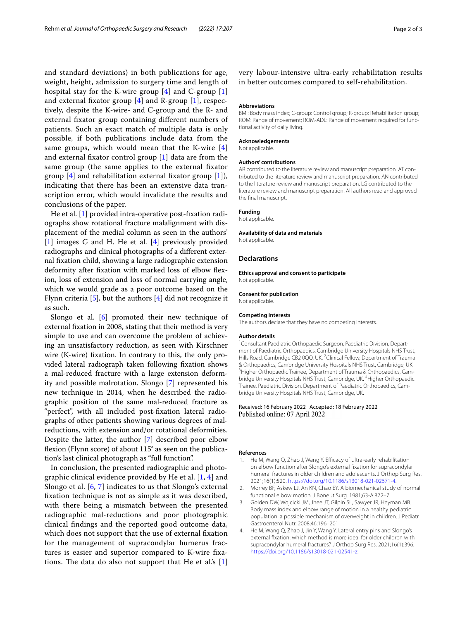and standard deviations) in both publications for age, weight, height, admission to surgery time and length of hospital stay for the K-wire group [\[4\]](#page-1-3) and C-group [\[1](#page-1-0)] and external fixator group  $[4]$  $[4]$  and R-group  $[1]$  $[1]$  $[1]$ , respectively, despite the K-wire- and C-group and the R- and external fxator group containing diferent numbers of patients. Such an exact match of multiple data is only possible, if both publications include data from the same groups, which would mean that the K-wire [\[4](#page-1-3)] and external fxator control group [\[1](#page-1-0)] data are from the same group (the same applies to the external fxator group  $[4]$  $[4]$  and rehabilitation external fixator group  $[1]$  $[1]$ ), indicating that there has been an extensive data transcription error, which would invalidate the results and conclusions of the paper.

He et al. [[1\]](#page-1-0) provided intra-operative post-fxation radiographs show rotational fracture malalignment with displacement of the medial column as seen in the authors' [[1\]](#page-1-0) images G and H. He et al. [\[4](#page-1-3)] previously provided radiographs and clinical photographs of a diferent external fxation child, showing a large radiographic extension deformity after fxation with marked loss of elbow fexion, loss of extension and loss of normal carrying angle, which we would grade as a poor outcome based on the Flynn criteria [[5\]](#page-2-0), but the authors [[4](#page-1-3)] did not recognize it as such.

Slongo et al. [\[6](#page-2-1)] promoted their new technique of external fxation in 2008, stating that their method is very simple to use and can overcome the problem of achieving an unsatisfactory reduction, as seen with Kirschner wire (K-wire) fxation. In contrary to this, the only provided lateral radiograph taken following fxation shows a mal-reduced fracture with a large extension deformity and possible malrotation. Slongo [[7\]](#page-2-2) represented his new technique in 2014, when he described the radiographic position of the same mal-reduced fracture as "perfect", with all included post-fxation lateral radiographs of other patients showing various degrees of malreductions, with extension and/or rotational deformities. Despite the latter, the author [\[7\]](#page-2-2) described poor elbow fexion (Flynn score) of about 115° as seen on the publication's last clinical photograph as "full function".

In conclusion, the presented radiographic and photographic clinical evidence provided by He et al. [[1,](#page-1-0) [4](#page-1-3)] and Slongo et al. [[6,](#page-2-1) [7](#page-2-2)] indicates to us that Slongo's external fxation technique is not as simple as it was described, with there being a mismatch between the presented radiographic mal-reductions and poor photographic clinical fndings and the reported good outcome data, which does not support that the use of external fxation for the management of supracondylar humerus fractures is easier and superior compared to K-wire fxations. The data do also not support that He et al's  $[1]$  $[1]$  very labour-intensive ultra-early rehabilitation results in better outcomes compared to self-rehabilitation.

#### **Abbreviations**

BMI: Body mass index; C-group: Control group; R-group: Rehabilitation group; ROM: Range of movement; ROM-ADL: Range of movement required for functional activity of daily living.

#### **Acknowledgements**

Not applicable.

### **Authors' contributions**

AR contributed to the literature review and manuscript preparation. AT contributed to the literature review and manuscript preparation. AN contributed to the literature review and manuscript preparation. LG contributed to the literature review and manuscript preparation. All authors read and approved the fnal manuscript.

## **Funding**

Not applicable.

## **Availability of data and materials**

Not applicable.

## **Declarations**

**Ethics approval and consent to participate** Not applicable.

#### **Consent for publication**

Not applicable.

#### **Competing interests**

The authors declare that they have no competing interests.

#### **Author details**

<sup>1</sup> Consultant Paediatric Orthopaedic Surgeon, Paediatric Division, Department of Paediatric Orthopaedics, Cambridge University Hospitals NHS Trust, Hills Road, Cambridge CB2 0QQ, UK. <sup>2</sup>Clinical Fellow, Department of Trauma & Orthopaedics, Cambridge University Hospitals NHS Trust, Cambridge, UK. <sup>3</sup> Higher Orthopaedic Trainee, Department of Trauma & Orthopaedics, Cambridge University Hospitals NHS Trust, Cambridge, UK. <sup>4</sup>Higher Orthopaedic Trainee, Paediatric Division, Department of Paediatric Orthopaedics, Cambridge University Hospitals NHS Trust, Cambridge, UK.

## Received: 16 February 2022 Accepted: 18 February 2022 Published online: 07 April 2022

## **References**

- <span id="page-1-0"></span>1. He M, Wang Q, Zhao J, Wang Y. Efficacy of ultra-early rehabilitation on elbow function after Slongo's external fxation for supracondylar humeral fractures in older children and adolescents. J Orthop Surg Res. 2021;16(1):520. [https://doi.org/10.1186/s13018-021-02671-4.](https://doi.org/10.1186/s13018-021-02671-4)
- <span id="page-1-1"></span>2. Morrey BF, Askew LJ, An KN, Chao EY. A biomechanical study of normal functional elbow motion. J Bone Jt Surg. 1981;63-A:872–7.
- <span id="page-1-2"></span>3. Golden DW, Wojcicki JM, Jhee JT, Gilpin SL, Sawyer JR, Heyman MB. Body mass index and elbow range of motion in a healthy pediatric population: a possible mechanism of overweight in children. J Pediatr Gastroenterol Nutr. 2008;46:196–201.
- <span id="page-1-3"></span>4. He M, Wang Q, Zhao J, Jin Y, Wang Y. Lateral entry pins and Slongo's external fxation: which method is more ideal for older children with supracondylar humeral fractures? J Orthop Surg Res. 2021;16(1):396. <https://doi.org/10.1186/s13018-021-02541-z>.